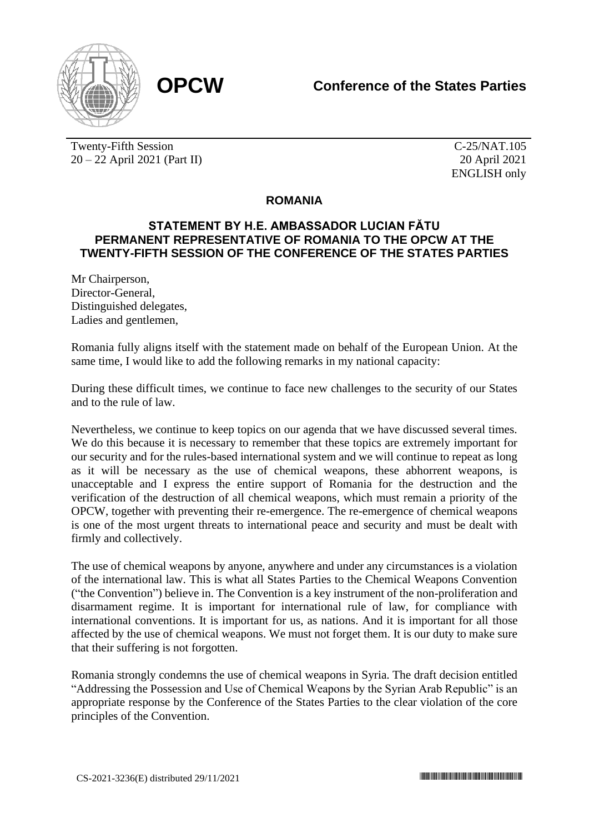

Twenty-Fifth Session 20 – 22 April 2021 (Part II)

C-25/NAT.105 20 April 2021 ENGLISH only

## **ROMANIA**

## **STATEMENT BY H.E. AMBASSADOR LUCIAN FĂTU PERMANENT REPRESENTATIVE OF ROMANIA TO THE OPCW AT THE TWENTY-FIFTH SESSION OF THE CONFERENCE OF THE STATES PARTIES**

Mr Chairperson, Director-General, Distinguished delegates, Ladies and gentlemen,

Romania fully aligns itself with the statement made on behalf of the European Union. At the same time, I would like to add the following remarks in my national capacity:

During these difficult times, we continue to face new challenges to the security of our States and to the rule of law.

Nevertheless, we continue to keep topics on our agenda that we have discussed several times. We do this because it is necessary to remember that these topics are extremely important for our security and for the rules-based international system and we will continue to repeat as long as it will be necessary as the use of chemical weapons, these abhorrent weapons, is unacceptable and I express the entire support of Romania for the destruction and the verification of the destruction of all chemical weapons, which must remain a priority of the OPCW, together with preventing their re-emergence. The re-emergence of chemical weapons is one of the most urgent threats to international peace and security and must be dealt with firmly and collectively.

The use of chemical weapons by anyone, anywhere and under any circumstances is a violation of the international law. This is what all States Parties to the Chemical Weapons Convention ("the Convention") believe in. The Convention is a key instrument of the non-proliferation and disarmament regime. It is important for international rule of law, for compliance with international conventions. It is important for us, as nations. And it is important for all those affected by the use of chemical weapons. We must not forget them. It is our duty to make sure that their suffering is not forgotten.

Romania strongly condemns the use of chemical weapons in Syria. The draft decision entitled "Addressing the Possession and Use of Chemical Weapons by the Syrian Arab Republic" is an appropriate response by the Conference of the States Parties to the clear violation of the core principles of the Convention.